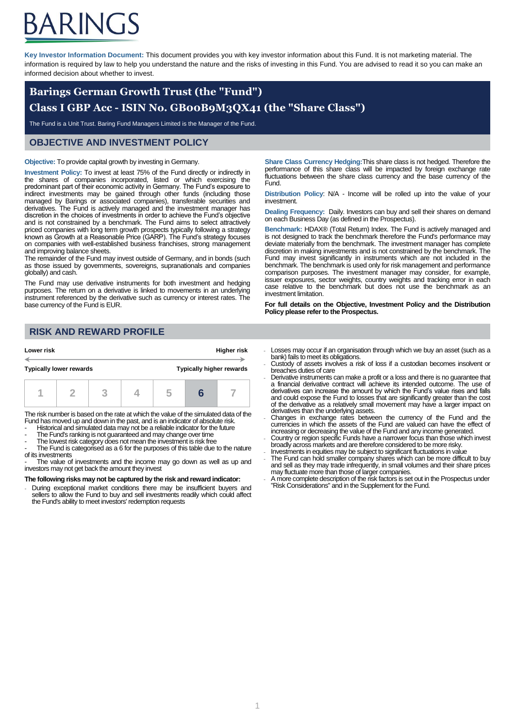# ARINGS

**Key Investor Information Document:** This document provides you with key investor information about this Fund. It is not marketing material. The information is required by law to help you understand the nature and the risks of investing in this Fund. You are advised to read it so you can make an informed decision about whether to invest.

# **Barings German Growth Trust (the "Fund") Class I GBP Acc - ISIN No. GB00B9M3QX41 (the "Share Class")**

The Fund is a Unit Trust. Baring Fund Managers Limited is the Manager of the Fund.

### **OBJECTIVE AND INVESTMENT POLICY**

#### **Objective:** To provide capital growth by investing in Germany.

**Investment Policy:** To invest at least 75% of the Fund directly or indirectly in the shares of companies incorporated, listed or which exercising the predominant part of their economic activity in Germany. The Fund's exposure to indirect investments may be gained through other funds (including those managed by Barings or associated companies), transferable securities and derivatives. The Fund is actively managed and the investment manager has discretion in the choices of investments in order to achieve the Fund's objective and is not constrained by a benchmark. The Fund aims to select attractively priced companies with long term growth prospects typically following a strategy known as Growth at a Reasonable Price (GARP). The Fund's strategy focuses on companies with well-established business franchises, strong management and improving balance sheets.

The remainder of the Fund may invest outside of Germany, and in bonds (such as those issued by governments, sovereigns, supranationals and companies globally) and cash.

The Fund may use derivative instruments for both investment and hedging purposes. The return on a derivative is linked to movements in an underlying instrument referenced by the derivative such as currency or interest rates. The base currency of the Fund is EUR.

**Share Class Currency Hedging:**This share class is not hedged. Therefore the performance of this share class will be impacted by foreign exchange rate fluctuations between the share class currency and the base currency of the Fund.

**Distribution Policy**: N/A - Income will be rolled up into the value of your investment.

**Dealing Frequency:** Daily. Investors can buy and sell their shares on demand on each Business Day (as defined in the Prospectus).

**Benchmark:** HDAX® (Total Return) Index. The Fund is actively managed and is not designed to track the benchmark therefore the Fund's performance may deviate materially from the benchmark. The investment manager has complete discretion in making investments and is not constrained by the benchmark. The Fund may invest significantly in instruments which are not included in the benchmark. The benchmark is used only for risk management and performance comparison purposes. The investment manager may consider, for example, issuer exposures, sector weights, country weights and tracking error in each case relative to the benchmark but does not use the benchmark as an investment limitation.

**For full details on the Objective, Investment Policy and the Distribution Policy please refer to the Prospectus.**

## **RISK AND REWARD PROFILE**



The risk number is based on the rate at which the value of the simulated data of the Fund has moved up and down in the past, and is an indicator of absolute risk.

- Historical and simulated data may not be a reliable indicator for the future The Fund's ranking is not guaranteed and may change over time
- 
- The lowest risk category does not mean the investment is risk free
- The Fund is categorised as a 6 for the purposes of this table due to the nature of its investments - The value of investments and the income may go down as well as up and

investors may not get back the amount they invest

#### **The following risks may not be captured by the risk and reward indicator:**

During exceptional market conditions there may be insufficient buyers and sellers to allow the Fund to buy and sell investments readily which could affect the Fund's ability to meet investors' redemption requests

- Losses may occur if an organisation through which we buy an asset (such as a bank) fails to meet its obligations.
- Custody of assets involves a risk of loss if a custodian becomes insolvent or breaches duties of care
- Derivative instruments can make a profit or a loss and there is no guarantee that a financial derivative contract will achieve its intended outcome. The use of derivatives can increase the amount by which the Fund's value rises and falls and could expose the Fund to losses that are significantly greater than the cost of the derivative as a relatively small movement may have a larger impact on derivatives than the underlying assets. - Changes in exchange rates between the currency of the Fund and the
- currencies in which the assets of the Fund are valued can have the effect of increasing or decreasing the value of the Fund and any income generated.
- Country or region specific Funds have a narrower focus than those which invest broadly across markets and are therefore considered to be more risky.
- Investments in equities may be subject to significant fluctuations in value
- The Fund can hold smaller company shares which can be more difficult to buy and sell as they may trade infrequently, in small volumes and their share prices may fluctuate more than those of larger companies. - A more complete description of the risk factors is set out in the Prospectus under
- "Risk Considerations" and in the Supplement for the Fund.